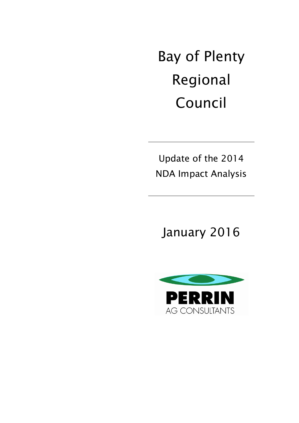Bay of Plenty Regional Council

Update of the 2014 NDA Impact Analysis

January 2016

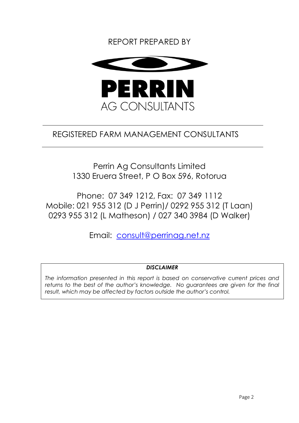# REPORT PREPARED BY



# REGISTERED FARM MANAGEMENT CONSULTANTS

Perrin Ag Consultants Limited 1330 Eruera Street, P O Box 596, Rotorua

Phone: 07 349 1212, Fax: 07 349 1112 Mobile: 021 955 312 (D J Perrin)/ 0292 955 312 (T Laan) 0293 955 312 (L Matheson) / 027 340 3984 (D Walker)

Email: [consult@perrinag.net.nz](mailto:consult@perrinag.net.nz)

## *DISCLAIMER*

*The information presented in this report is based on conservative current prices and*  returns to the best of the author's knowledge. No guarantees are given for the final *result, which may be affected by factors outside the author's control.*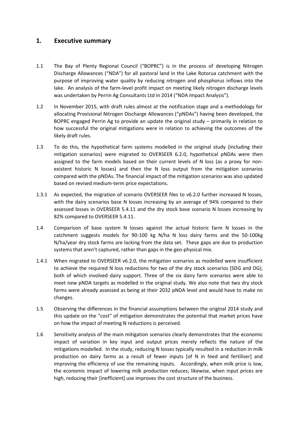## **1. Executive summary**

- 1.1 The Bay of Plenty Regional Council ("BOPRC") is in the process of developing Nitrogen Discharge Allowances ("NDA") for all pastoral land in the Lake Rotorua catchment with the purpose of improving water quality by reducing nitrogen and phosphorus inflows into the lake. An analysis of the farm-level profit impact on meeting likely nitrogen discharge levels was undertaken by Perrin Ag Consultants Ltd in 2014 ("NDA Impact Analysis").
- 1.2 In November 2015, with draft rules almost at the notification stage and a methodology for allocating Provisional Nitrogen Discharge Allowances ("pNDAs") having been developed, the BOPRC engaged Perrin Ag to provide an update the original study – primarily in relation to how successful the original mitigations were in relation to achieving the outcomes of the likely draft rules.
- 1.3 To do this, the hypothetical farm systems modelled in the original study (including their mitigation scenarios) were migrated to OVERSEER 6.2.0, hypothetical pNDAs were then assigned to the farm models based on their current levels of N loss (as a proxy for nonexistent historic N losses) and then the N loss output from the mitigation scenarios compared with the pNDAs. The financial impact of the mitigation scenarios was also updated based on revised medium-term price expectations.
- 1.3.1 As expected, the migration of scenario OVERSEER files to v6.2.0 further increased N losses, with the dairy scenarios base N losses increasing by an average of 94% compared to their assessed losses in OVERSEER 5.4.11 and the dry stock base scenario N losses increasing by 82% compared to OVERSEER 5.4.11.
- 1.4 Comparison of base system N losses against the actual historic farm N losses in the catchment suggests models for 90-100 kg N/ha N loss dairy farms and the 50-100kg N/ha/year dry stock farms are lacking from the data set. These gaps are due to production systems that aren't captured, rather than gaps in the geo-physical mix.
- 1.4.1 When migrated to OVERSEER v6.2.0, the mitigation scenarios as modelled were insufficient to achieve the required N loss reductions for two of the dry stock scenarios (SDG and DG), both of which involved dairy support. Three of the six dairy farm scenarios were able to meet new pNDA targets as modelled in the original study. We also note that two dry stock farms were already assessed as being at their 2032 pNDA level and would have to make no changes.
- 1.5 Observing the differences in the financial assumptions between the original 2014 study and this update on the "cost" of mitigation demonstrates the potential that market prices have on how the impact of meeting N reductions is perceived.
- 1.6 Sensitivity analysis of the main mitigation scenarios clearly demonstrates that the economic impact of variation in key input and output prices merely reflects the nature of the mitigations modelled. In the study, reducing N losses typically resulted in a reduction in milk production on dairy farms as a result of fewer inputs [of N in feed and fertiliser] and improving the efficiency of use the remaining inputs. Accordingly, when milk price is low, the economic impact of lowering milk production reduces; likewise, when input prices are high, reducing their [inefficient] use improves the cost structure of the business.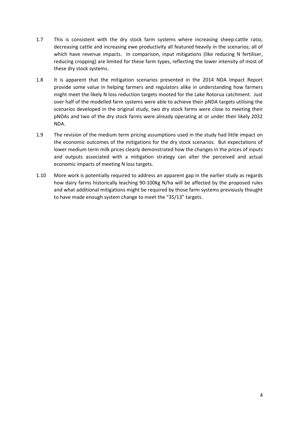- 1.7 This is consistent with the dry stock farm systems where increasing sheep:cattle ratio, decreasing cattle and increasing ewe productivity all featured heavily in the scenarios; all of which have revenue impacts. In comparison, input mitigations (like reducing N fertiliser, reducing cropping) are limited for these farm types, reflecting the lower intensity of most of these dry stock systems.
- 1.8 It is apparent that the mitigation scenarios presented in the 2014 NDA Impact Report provide some value in helping farmers and regulators alike in understanding how farmers might meet the likely N loss reduction targets mooted for the Lake Rotorua catchment. Just over half of the modelled farm systems were able to achieve their pNDA targets utilising the scenarios developed in the original study, two dry stock farms were close to meeting their pNDAs and two of the dry stock farms were already operating at or under their likely 2032 NDA.
- 1.9 The revision of the medium term pricing assumptions used in the study had little impact on the economic outcomes of the mitigations for the dry stock scenarios. But expectations of lower medium term milk prices clearly demonstrated how the changes in the prices of inputs and outputs associated with a mitigation strategy can alter the perceived and actual economic impacts of meeting N loss targets.
- 1.10 More work is potentially required to address an apparent gap in the earlier study as regards how dairy farms historically leaching 90-100kg N/ha will be affected by the proposed rules and what additional mitigations might be required by those farm systems previously thought to have made enough system change to meet the "35/13" targets.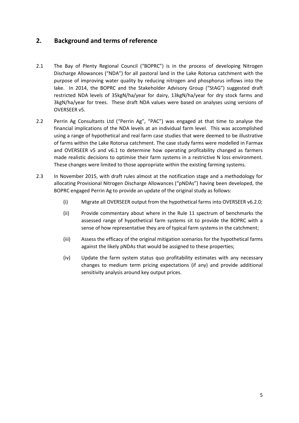# **2. Background and terms of reference**

- 2.1 The Bay of Plenty Regional Council ("BOPRC") is in the process of developing Nitrogen Discharge Allowances ("NDA") for all pastoral land in the Lake Rotorua catchment with the purpose of improving water quality by reducing nitrogen and phosphorus inflows into the lake. In 2014, the BOPRC and the Stakeholder Advisory Group ("StAG") suggested draft restricted NDA levels of 35kgN/ha/year for dairy, 13kgN/ha/year for dry stock farms and 3kgN/ha/year for trees. These draft NDA values were based on analyses using versions of OVERSEER v5.
- 2.2 Perrin Ag Consultants Ltd ("Perrin Ag", "PAC") was engaged at that time to analyse the financial implications of the NDA levels at an individual farm level. This was accomplished using a range of hypothetical and real farm case studies that were deemed to be illustrative of farms within the Lake Rotorua catchment. The case study farms were modelled in Farmax and OVERSEER v5 and v6.1 to determine how operating profitability changed as farmers made realistic decisions to optimise their farm systems in a restrictive N loss environment. These changes were limited to those appropriate within the existing farming systems.
- 2.3 In November 2015, with draft rules almost at the notification stage and a methodology for allocating Provisional Nitrogen Discharge Allowances ("pNDAs") having been developed, the BOPRC engaged Perrin Ag to provide an update of the original study as follows:
	- (i) Migrate all OVERSEER output from the hypothetical farms into OVERSEER v6.2.0;
	- (ii) Provide commentary about where in the Rule 11 spectrum of benchmarks the assessed range of hypothetical farm systems sit to provide the BOPRC with a sense of how representative they are of typical farm systems in the catchment;
	- (iii) Assess the efficacy of the original mitigation scenarios for the hypothetical farms against the likely pNDAs that would be assigned to these properties;
	- (iv) Update the farm system status quo profitability estimates with any necessary changes to medium term pricing expectations (if any) and provide additional sensitivity analysis around key output prices.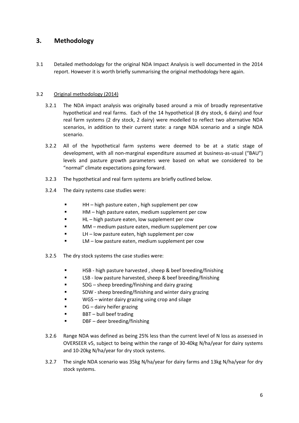## **3. Methodology**

3.1 Detailed methodology for the original NDA Impact Analysis is well documented in the 2014 report. However it is worth briefly summarising the original methodology here again.

## 3.2 Original methodology (2014)

- 3.2.1 The NDA impact analysis was originally based around a mix of broadly representative hypothetical and real farms. Each of the 14 hypothetical (8 dry stock, 6 dairy) and four real farm systems (2 dry stock, 2 dairy) were modelled to reflect two alternative NDA scenarios, in addition to their current state: a range NDA scenario and a single NDA scenario.
- 3.2.2 All of the hypothetical farm systems were deemed to be at a static stage of development, with all non-marginal expenditure assumed at business-as-usual ("BAU") levels and pasture growth parameters were based on what we considered to be "normal" climate expectations going forward.
- 3.2.3 The hypothetical and real farm systems are briefly outlined below.
- 3.2.4 The dairy systems case studies were:
	- **HH** high pasture eaten, high supplement per cow
	- HM high pasture eaten, medium supplement per cow
	- **HL** high pasture eaten, low supplement per cow
	- **MM** medium pasture eaten, medium supplement per cow
	- **EXECUTE:** LH low pasture eaten, high supplement per cow
	- **EXECT** LM low pasture eaten, medium supplement per cow
- 3.2.5 The dry stock systems the case studies were:
	- **HSB** high pasture harvested, sheep & beef breeding/finishing
	- **EXECT:** LSB low pasture harvested, sheep & beef breeding/finishing
	- SDG sheep breeding/finishing and dairy grazing
	- SDW sheep breeding/finishing and winter dairy grazing
	- WGS winter dairy grazing using crop and silage
	- **DG** dairy heifer grazing
	- $\blacksquare$  BBT bull beef trading
	- **•** DBF deer breeding/finishing
- 3.2.6 Range NDA was defined as being 25% less than the current level of N loss as assessed in OVERSEER v5, subject to being within the range of 30-40kg N/ha/year for dairy systems and 10-20kg N/ha/year for dry stock systems.
- 3.2.7 The single NDA scenario was 35kg N/ha/year for dairy farms and 13kg N/ha/year for dry stock systems.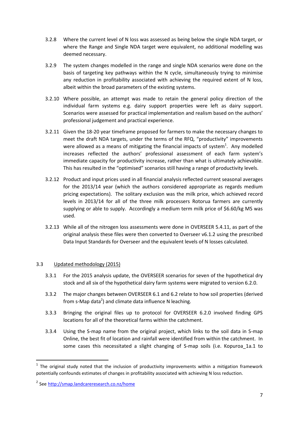- 3.2.8 Where the current level of N loss was assessed as being below the single NDA target, or where the Range and Single NDA target were equivalent, no additional modelling was deemed necessary.
- 3.2.9 The system changes modelled in the range and single NDA scenarios were done on the basis of targeting key pathways within the N cycle, simultaneously trying to minimise any reduction in profitability associated with achieving the required extent of N loss, albeit within the broad parameters of the existing systems.
- 3.2.10 Where possible, an attempt was made to retain the general policy direction of the individual farm systems e.g. dairy support properties were left as dairy support. Scenarios were assessed for practical implementation and realism based on the authors' professional judgement and practical experience.
- 3.2.11 Given the 18-20 year timeframe proposed for farmers to make the necessary changes to meet the draft NDA targets, under the terms of the RFQ, "productivity" improvements were allowed as a means of mitigating the financial impacts of system<sup>1</sup>. Any modelled increases reflected the authors' professional assessment of each farm system's immediate capacity for productivity increase, rather than what is ultimately achievable. This has resulted in the "optimised" scenarios still having a range of productivity levels.
- 3.2.12 Product and input prices used in all financial analysis reflected current seasonal averages for the 2013/14 year (which the authors considered appropriate as regards medium pricing expectations). The solitary exclusion was the milk price, which achieved record levels in 2013/14 for all of the three milk processers Rotorua farmers are currently supplying or able to supply. Accordingly a medium term milk price of \$6.60/kg MS was used.
- 3.2.13 While all of the nitrogen loss assessments were done in OVERSEER 5.4.11, as part of the original analysis these files were then converted to Overseer v6.1.2 using the prescribed Data Input Standards for Overseer and the equivalent levels of N losses calculated.

## 3.3 Updated methodology (2015)

- 3.3.1 For the 2015 analysis update, the OVERSEER scenarios for seven of the hypothetical dry stock and all six of the hypothetical dairy farm systems were migrated to version 6.2.0.
- 3.3.2 The major changes between OVERSEER 6.1 and 6.2 relate to how soil properties (derived from s-Map data<sup>2</sup>) and climate data influence N leaching.
- 3.3.3 Bringing the original files up to protocol for OVERSEER 6.2.0 involved finding GPS locations for all of the theoretical farms within the catchment.
- 3.3.4 Using the S-map name from the original project, which links to the soil data in S-map Online, the best fit of location and rainfall were identified from within the catchment. In some cases this necessitated a slight changing of S-map soils (i.e. Kopuroa\_1a.1 to

**.** 

 $1$  The original study noted that the inclusion of productivity improvements within a mitigation framework potentially confounds estimates of changes in profitability associated with achieving N loss reduction.

<sup>&</sup>lt;sup>2</sup> See <http://smap.landcareresearch.co.nz/home>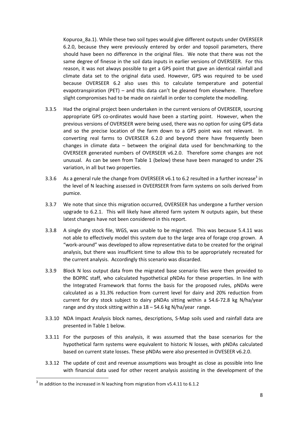Kopuroa\_8a.1). While these two soil types would give different outputs under OVERSEER 6.2.0, because they were previously entered by order and topsoil parameters, there should have been no difference in the original files. We note that there was not the same degree of finesse in the soil data inputs in earlier versions of OVERSEER. For this reason, it was not always possible to get a GPS point that gave an identical rainfall and climate data set to the original data used. However, GPS was required to be used because OVERSEER 6.2 also uses this to calculate temperature and potential evapotranspiration (PET) – and this data can't be gleaned from elsewhere. Therefore slight compromises had to be made on rainfall in order to complete the modelling.

- 3.3.5 Had the original project been undertaken in the current versions of OVERSEER, sourcing appropriate GPS co-ordinates would have been a starting point. However, when the previous versions of OVERSEER were being used, there was no option for using GPS data and so the precise location of the farm down to a GPS point was not relevant. In converting real farms to OVERSEER 6.2.0 and beyond there have frequently been changes in climate data – between the original data used for benchmarking to the OVERSEER generated numbers of OVERSEER v6.2.0. Therefore some changes are not unusual. As can be seen from Table 1 (below) these have been managed to under 2% variation, in all but two properties.
- 3.3.6 As a general rule the change from OVERSEER v6.1 to 6.2 resulted in a further increase<sup>3</sup> in the level of N leaching assessed in OVEERSEER from farm systems on soils derived from pumice.
- 3.3.7 We note that since this migration occurred, OVERSEER has undergone a further version upgrade to 6.2.1. This will likely have altered farm system N outputs again, but these latest changes have not been considered in this report.
- 3.3.8 A single dry stock file, WGS, was unable to be migrated. This was because 5.4.11 was not able to effectively model this system due to the large area of forage crop grown. A "work-around" was developed to allow representative data to be created for the original analysis, but there was insufficient time to allow this to be appropriately recreated for the current analysis. Accordingly this scenario was discarded.
- 3.3.9 Block N loss output data from the migrated base scenario files were then provided to the BOPRC staff, who calculated hypothetical pNDAs for these properties. In line with the Integrated Framework that forms the basis for the proposed rules, pNDAs were calculated as a 31.3% reduction from current level for dairy and 20% reduction from current for dry stock subject to dairy pNDAs sitting within a 54.6-72.8 kg N/ha/year range and dry stock sitting within a 18 – 54.6 kg N/ha/year range.
- 3.3.10 NDA Impact Analysis block names, descriptions, S-Map soils used and rainfall data are presented in [Table 1](#page-9-0) below.
- 3.3.11 For the purposes of this analysis, it was assumed that the base scenarios for the hypothetical farm systems were equivalent to historic N losses, with pNDAs calculated based on current state losses. These pNDAs were also presented in OVESEER v6.2.0.
- 3.3.12 The update of cost and revenue assumptions was brought as close as possible into line with financial data used for other recent analysis assisting in the development of the

 $\frac{1}{3}$  In addition to the increased in N leaching from migration from v5.4.11 to 6.1.2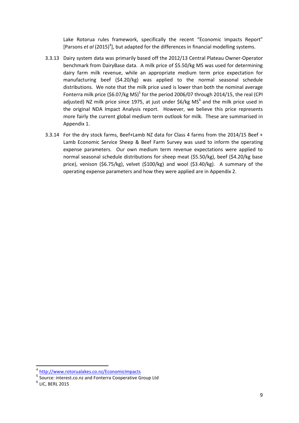Lake Rotorua rules framework, specifically the recent "Economic Impacts Report" [Parsons et al (2015)<sup>4</sup>], but adapted for the differences in financial modelling systems.

- 3.3.13 Dairy system data was primarily based off the 2012/13 Central Plateau Owner-Operator benchmark from DairyBase data. A milk price of \$5.50/kg MS was used for determining dairy farm milk revenue, while an appropriate medium term price expectation for manufacturing beef (\$4.20/kg) was applied to the normal seasonal schedule distributions. We note that the milk price used is lower than both the nominal average Fonterra milk price (\$6.07/kg MS)<sup>5</sup> for the period 2006/07 through 2014/15, the real (CPI adjusted) NZ milk price since 1975, at just under  $$6/kg$  MS<sup>6</sup> and the milk price used in the original NDA Impact Analysis report. However, we believe this price represents more fairly the current global medium term outlook for milk. These are summarised in Appendix 1.
- 3.3.14 For the dry stock farms, Beef+Lamb NZ data for Class 4 farms from the 2014/15 Beef + Lamb Economic Service Sheep & Beef Farm Survey was used to inform the operating expense parameters. Our own medium term revenue expectations were applied to normal seasonal schedule distributions for sheep meat (\$5.50/kg), beef (\$4.20/kg base price), venison (\$6.75/kg), velvet (\$100/kg) and wool (\$3.40/kg). A summary of the operating expense parameters and how they were applied are in Appendix 2.

**.** 

<sup>4</sup> http://www.rotorualakes.co.nz/EconomicImpacts

<sup>&</sup>lt;sup>5</sup> Source: interest.co.nz and Fonterra Cooperative Group Ltd

 $^6$  LIC, BERL 2015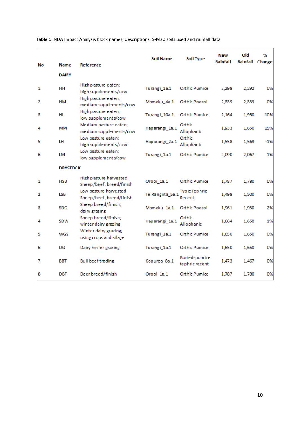| No | Name            | <b>Reference</b>                                   | <b>Soil Name</b> | Soil Type                       | <b>New</b><br>Rainfall | Old<br>Rainfall Change | %     |
|----|-----------------|----------------------------------------------------|------------------|---------------------------------|------------------------|------------------------|-------|
|    | <b>DAIRY</b>    |                                                    |                  |                                 |                        |                        |       |
| 1  | HН              | High pasture eaten;<br>high supplements/cow        | Turangi 1a.1     | <b>Orthic Pumice</b>            | 2,298                  | 2,292                  | 0%    |
| 2  | нм              | High pasture eaten;<br>me dium supplements/cow     | Mamaku_4a.1      | Orthic Podzol                   | 2,339                  | 2,339                  | 0%    |
| з  | HL              | High pasture eaten;<br>low supplements/cow         | Turangi 10a.1    | <b>Orthic Pumice</b>            | 2.164                  | 1,950                  | 10%   |
| 4  | МM              | Me dium pasture eaten;<br>me dium supplements/cow  | Haparangi_1a.1   | Orthic<br>Allophanic            | 1,933                  | 1,650                  | 15%   |
| 5  | LH              | Low pasture eaten;<br>high supplements/cow         | Haparangi 2a.1   | Orthic<br>Allophanic            | 1,558                  | 1,569                  | $-1%$ |
| 6  | LM              | Low pasture eaten;<br>low supplements/cow          | Turangi 1a.1     | <b>Orthic Pumice</b>            | 2,090                  | 2,067                  | 1%    |
|    | <b>DRYSTOCK</b> |                                                    |                  |                                 |                        |                        |       |
| 1  | <b>HSB</b>      | High pasture harvested<br>Sheep/beef, breed/finish | Oropi 1a.1       | Orthic Pumice                   | 1.787                  | 1,780                  | 0%    |
| 2  | <b>LSB</b>      | Low pasture harvested<br>Sheep/beef, breed/finish  | Te Rangiita 5a.1 | <b>Typic Tephric</b><br>Recent  | 1,498                  | 1,500                  | 0%    |
| з  | <b>SDG</b>      | Sheep breed/finish;<br>dairy grazing               | Mamaku_1a.1      | Orthic Podzol                   | 1,961                  | 1,930                  | 2%    |
| 4  | SDW             | Sheep breed/finish;<br>winter dairy grazing        | Haparangi_1a.1   | Orthic<br>Allophanic            | 1,664                  | 1,650                  | 1%    |
| 5  | WGS             | Winter dairy grazing;<br>using crops and silage    | Turangi_1a.1     | Orthic Pumice                   | 1,650                  | 1,650                  | 0%    |
| 6  | DG              | Dairy heifer grazing                               | Turangi_1a.1     | <b>Orthic Pumice</b>            | 1,650                  | 1,650                  | 0%    |
| 7  | <b>BBT</b>      | <b>Bull beef trading</b>                           | Kopuroa_8a.1     | Buried-pumice<br>tephric recent | 1,473                  | 1,467                  | 0%    |
| 8  | <b>DBF</b>      | Deer breed/finish                                  | Oropi_1a.1       | Orthic Pumice                   | 1,787                  | 1,780                  | 0%    |

<span id="page-9-0"></span>**Table 1:** NDA Impact Analysis block names, descriptions, S-Map soils used and rainfall data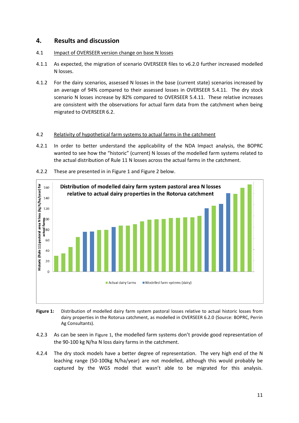## **4. Results and discussion**

- 4.1 Impact of OVERSEER version change on base N losses
- 4.1.1 As expected, the migration of scenario OVERSEER files to v6.2.0 further increased modelled N losses.
- 4.1.2 For the dairy scenarios, assessed N losses in the base (current state) scenarios increased by an average of 94% compared to their assessed losses in OVERSEER 5.4.11. The dry stock scenario N losses increase by 82% compared to OVERSEER 5.4.11. These relative increases are consistent with the observations for actual farm data from the catchment when being migrated to OVERSEER 6.2.

## 4.2 Relativity of hypothetical farm systems to actual farms in the catchment

4.2.1 In order to better understand the applicability of the NDA Impact analysis, the BOPRC wanted to see how the "historic" (current) N losses of the modelled farm systems related to the actual distribution of Rule 11 N losses across the actual farms in the catchment.



4.2.2 These are presented in in [Figure 1](#page-10-0) an[d Figure 2](#page-11-0) below.

- <span id="page-10-0"></span>**Figure 1:** Distribution of modelled dairy farm system pastoral losses relative to actual historic losses from dairy properties in the Rotorua catchment, as modelled in OVERSEER 6.2.0 (Source: BOPRC, Perrin Ag Consultants).
- 4.2.3 As can be seen in [Figure 1](#page-10-0), the modelled farm systems don't provide good representation of the 90-100 kg N/ha N loss dairy farms in the catchment.
- 4.2.4 The dry stock models have a better degree of representation. The very high end of the N leaching range (50-100kg N/ha/year) are not modelled, although this would probably be captured by the WGS model that wasn't able to be migrated for this analysis.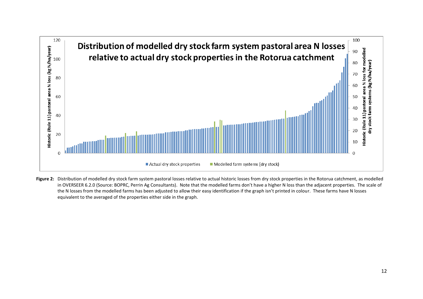

<span id="page-11-0"></span>Figure 2: Distribution of modelled dry stock farm system pastoral losses relative to actual historic losses from dry stock properties in the Rotorua catchment, as modelled in OVERSEER 6.2.0 (Source: BOPRC, Perrin Ag Consultants). Note that the modelled farms don't have a higher N loss than the adjacent properties. The scale of the N losses from the modelled farms has been adjusted to allow their easy identification if the graph isn't printed in colour. These farms have N losses equivalent to the averaged of the properties either side in the graph.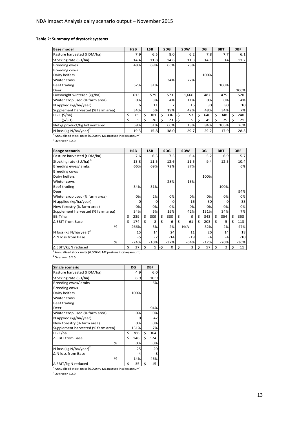#### **Table 2: Summary of drystock systems**

| <b>Base model</b>                  | <b>HSB</b> |   | <b>LSB</b> |   | <b>SDG</b> |     | <b>SDW</b> | DG        |    | <b>BBT</b> |   | <b>DBF</b> |
|------------------------------------|------------|---|------------|---|------------|-----|------------|-----------|----|------------|---|------------|
| Pasture harvested (t DM/ha)        | 7.9        |   | 6.5        |   | 8.0        |     | 6.2        | 7.8       |    | 7.7        |   | 6.1        |
| Stocking rate (SU/ha) <sup>1</sup> | 14.4       |   | 11.8       |   | 14.6       |     | 11.3       | 14.1      |    | 14         |   | 11.2       |
| <b>Breeding ewes</b>               | 48%        |   | 69%        |   | 66%        |     | 73%        |           |    |            |   |            |
| <b>Breeding cows</b>               |            |   |            |   |            |     |            |           |    |            |   |            |
| Dairy heifers                      |            |   |            |   |            |     |            | 100%      |    |            |   |            |
| Winter cows                        |            |   |            |   | 34%        |     | 27%        |           |    |            |   |            |
| Beef trading                       | 52%        |   | 31%        |   |            |     |            |           |    | 100%       |   |            |
| Deer                               |            |   |            |   |            |     |            |           |    |            |   | 100%       |
| Liveweight wintered (kg/ha)        | 613        |   | 579        |   | 573        |     | 1,666      | 487       |    | 475        |   | 520        |
| Winter crop used (% farm area)     | 0%         |   | 3%         |   | 4%         |     | 11%        | 0%        |    | 0%         |   | 4%         |
| N applied (kg/ha/year)             | 6          |   | 11         |   |            |     | 16         | 30        |    | 80         |   | 10         |
| Supplement harvested (% farm area) | 34%        |   | 5%         |   | 19%        |     | 42%        | 48%       |    | 34%        |   | 7%         |
| EBIT $(\frac{2}{3})$ ha)           | \$<br>65   | Ś | 301        | Ś | 336        | -\$ | 53         | \$<br>640 | Ś. | 348        | Ś | 240        |
| (S/SU)                             | 5          | S | 26         | Ś | 23         | -\$ | 5          | \$<br>45  |    | 25         |   | 21         |
| Netkg product/kg lwt wintered      | 59%        |   | 51%        |   | 60%        |     | 13%        | 84%       |    | 105%       |   | 26%        |
| N loss (kg N/ha/year) <sup>2</sup> | 19.3       |   | 15.8       |   | 38.0       |     | 29.7       | 29.2      |    | 17.9       |   | 28.3       |

 $<sup>1</sup>$  Annualised stock units (6,000 MJ ME pasture intake/annum)</sup>

<sup>2</sup>Overseer 6.2.0

| Range scenario                     |    | <b>HSB</b> |    | <b>LSB</b> |     | <b>SDG</b> | <b>SDW</b> |        | DG        |    | <b>BBT</b> |   | <b>DBF</b> |
|------------------------------------|----|------------|----|------------|-----|------------|------------|--------|-----------|----|------------|---|------------|
| Pasture harvested (t DM/ha)        |    | 7.6        |    | 6.3        |     | 7.5        |            | 6.4    | 5.2       |    | 6.9        |   | 5.7        |
| Stocking rate (SU/ha) <sup>1</sup> |    | 13.8       |    | 11.5       |     | 13.6       |            | 11.5   | 9.4       |    | 12.5       |   | 10.4       |
| Breeding ewes/lambs                |    | 66%        |    | 69%        |     | 72%        |            | 87%    |           |    |            |   | 6%         |
| <b>Breeding cows</b>               |    |            |    |            |     |            |            |        |           |    |            |   |            |
| Dairy heifers                      |    |            |    |            |     |            |            |        | 100%      |    |            |   |            |
| Winter cows                        |    |            |    |            |     | 28%        |            | 13%    |           |    |            |   |            |
| Beef trading                       |    | 34%        |    | 31%        |     |            |            |        |           |    | 100%       |   |            |
| Deer                               |    |            |    |            |     |            |            |        |           |    |            |   | 94%        |
| Winter crop used (% farm area)     |    | 0%         |    | 2%         |     | 0%         |            | 0%     | 0%        |    | 0%         |   | 0%         |
| N applied (kg/ha/year)             |    | Ω          |    | 0          |     | 0          |            | 16     | 30        |    | O          |   | 33         |
| New forestry (% farm area)         |    | 0%         |    | 0%         |     | 0%         |            | 0%     | 0%        |    | 0%         |   | 0%         |
| Supplement harvested (% farm area) |    | 34%        |    | 5%         |     | 19%        |            | 42%    | 131%      |    | 34%        |   | 7%         |
| EBIT/ha                            | Ś  | 239        | Ś  | 309        | Ś.  | 330        | Ś          | 9      | \$<br>843 | Ś. | 354        | Ś | 353        |
| ∆ EBIT from Base                   | Ś  | 174        | Ś. | 8          | -Ś  | 6          | \$         | 61     | \$<br>203 | Ŝ. | 5          | Ś | 113        |
| %                                  |    | 266%       |    | 3%         |     | $-2%$      | N/A        |        | 32%       |    | 2%         |   | 47%        |
| N loss (kg N/ha/year) <sup>2</sup> |    | 15         |    | 14         |     | 24         |            | 11     | 26        |    | 14         |   | 18         |
| $\Delta$ N loss from Base          |    | $-5$       |    | $-2$       |     | $-14$      |            | $-19$  | $-4$      |    | -4         |   | $-10$      |
| %                                  |    | $-24%$     |    | $-10%$     |     | $-37%$     |            | $-64%$ | $-12%$    |    | $-20%$     |   | $-36%$     |
| $\Delta$ EBIT/kg N reduced         | \$ | 37         | \$ | 5          | -\$ | 0          | \$         | 3      | \$<br>57  | \$ | 2          | Ś | 11         |

 $\mathcal{L}_\text{max}$  and  $\mathcal{L}_\text{max}$  are the set of the set of the set of the set of the set of the set of the set of the set of the set of the set of the set of the set of the set of the set of the set of the set of the set o

<sup>1</sup> Annualised stock units (6,000 MJ ME pasture intake/annum)

<sup>2</sup> Overseer 6.2.0

| Single scenario                                                 |    | DG     |    | <b>DBF</b> |
|-----------------------------------------------------------------|----|--------|----|------------|
| Pasture harvested (t DM/ha)                                     |    | 4.9    |    | 6.0        |
| Stocking rate (SU/ha) $^{\perp}$                                |    | 8.9    |    | 10.9       |
| Breeding ewes/lambs                                             |    |        |    | 6%         |
| <b>Breeding cows</b>                                            |    |        |    |            |
| Dairy heifers                                                   |    | 100%   |    |            |
| Winter cows                                                     |    |        |    |            |
| Beef trading                                                    |    |        |    |            |
| Deer                                                            |    |        |    | 94%        |
| Winter crop used (% farm area)                                  |    | 0%     |    | 0%         |
| N applied (kg/ha/year)                                          |    | o      |    | 47         |
| New forestry (% farm area)                                      |    | 0%     |    | 0%         |
| Supplement harvested (% farm area)                              |    | 131%   |    | 7%         |
| EBIT/ha                                                         | \$ | 786    | \$ | 364        |
| ∆ EBIT from Base                                                | Ś  | 146    | \$ | 124        |
| %                                                               |    | 0%     |    | 0%         |
| N loss (kg N/ha/year) <sup>2</sup>                              |    | 25     |    | 20         |
| ΔN loss from Base                                               |    | -4     |    | -8         |
| %                                                               |    | $-14%$ |    | $-46%$     |
| ∆ EBIT/kg N reduced                                             | Ś  | 35     | Ś  | 15         |
| $^1$ Annualised stock units (C-000 MLME posture into to (annum) |    |        |    |            |

 $<sup>1</sup>$  Annualised stock units (6,000 MJ ME pasture intake/annum)</sup>

 $2$ Overseer 6.2.0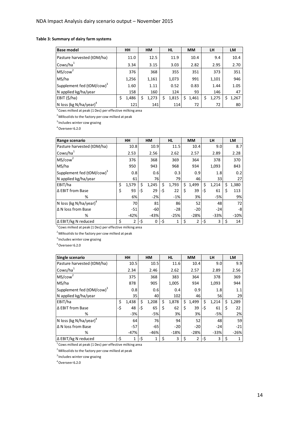#### **Table 3: Summary of dairy farm systems**

| <b>Base model</b>                     | HН    | <b>HM</b>   | <b>HL</b>  | <b>MM</b>  | LH          | LM          |
|---------------------------------------|-------|-------------|------------|------------|-------------|-------------|
| Pasture harvested (tDM/ha)            | 11.0  | 12.5        | 11.9       | 10.4       | 9.4         | 10.4        |
| Cows/ha <sup>1</sup>                  | 3.34  | 3.15        | 3.03       | 2.82       | 2.95        | 2.70        |
| MS/cow <sup>2</sup>                   | 376   | 368         | 355        | 351        | 373         | 351         |
| MS/ha                                 | 1,256 | 1,161       | 1,073      | 991        | 1,101       | 946         |
| Supplement fed (tDM/cow) <sup>3</sup> | 1.60  | 1.11        | 0.52       | 0.83       | 1.44        | 1.05        |
| N applied kg/ha/year                  | 158   | 160         | 124        | 93         | 146         | 47          |
| EBIT (\$/ha)                          | 1,486 | \$<br>1,273 | 1,815<br>Ś | 1,461<br>Ś | 1,275<br>\$ | 1,267<br>Ś. |
| N loss (kg N/ha/year) <sup>4</sup>    | 121   | 141         | 114        | 72         | 72          | 80          |

<sup>1</sup> Cows milked at peak (1 Dec) per effective milking area

 $2$  Milksolids to the factory per cow milked at peak

<sup>3</sup> Includes winter cow grazing

<sup>4</sup>Overseer 6.2.0

| Range scenario                        | HН          |     | <b>HM</b> |     | <b>HL</b> |    | <b>MM</b>      |     | LH     |    | LM     |
|---------------------------------------|-------------|-----|-----------|-----|-----------|----|----------------|-----|--------|----|--------|
| Pasture harvested (tDM/ha)            | 10.8        |     | 10.9      |     | 11.5      |    | 10.4           |     | 9.0    |    | 8.7    |
| Cows/ha <sup>1</sup>                  | 2.53        |     | 2.56      |     | 2.62      |    | 2.57           |     | 2.89   |    | 2.28   |
| MS/cow <sup>2</sup>                   | 376         |     | 368       |     | 369       |    | 364            |     | 378    |    | 370    |
| MS/ha                                 | 950         |     | 943       |     | 968       |    | 934            |     | 1,093  |    | 843    |
| Supplement fed (tDM/cow) <sup>3</sup> | 0.8         |     | 0.6       |     | 0.3       |    | 0.9            |     | 1.8    |    | 0.2    |
| N applied kg/ha/year                  | 61          |     | 76        |     | 79        |    | 46             |     | 33     |    | 27     |
| EBIT/ha                               | \$<br>1,579 | \$  | 1,245     | Ś   | 1,793     | Ś. | 1,499          | \$  | 1,214  | Ś  | 1,380  |
| Δ EBIT from Base                      | \$<br>93    | -\$ | 29        | -Ś  | 22        | Ś  | 39             | -Ś  | 61     | Ś  | 113    |
| %                                     | 6%          |     | $-2%$     |     | $-1%$     |    | 3%             |     | $-5%$  |    | 9%     |
| N loss (kg N/ha/year) <sup>4</sup>    | 70          |     | 81        |     | 86        |    | 52             |     | 48     |    | 72     |
| ΔN loss from Base                     | $-51$       |     | $-60$     |     | $-28$     |    | $-20$          |     | $-24$  |    | -8     |
| %                                     | $-42%$      |     | $-43%$    |     | $-25%$    |    | $-28%$         |     | $-33%$ |    | $-10%$ |
| ∆ EBIT/kg N reduced                   | \$<br>2     | -\$ | 0         | -\$ | 1         | \$ | $\overline{2}$ | -\$ | 3      | \$ | 14     |

 $1$ Cows milked at peak (1 Dec) per effective milking area

 $2$  Milksolids to the factory per cow milked at peak

 $3$ Includes winter cow grazing

<sup>4</sup>Overseer 6.2.0

| Single scenario                       |     | HН              |      | <b>HM</b> |    | HL.    | <b>MM</b>   |     | LH.    | LM          |
|---------------------------------------|-----|-----------------|------|-----------|----|--------|-------------|-----|--------|-------------|
| Pasture harvested (tDM/ha)            |     | 10.5            |      | 10.5      |    | 11.6   | 10.4        |     | 9.0    | 9.9         |
| Cows/ha <sup>1</sup>                  |     | 2.34            |      | 2.46      |    | 2.62   | 2.57        |     | 2.89   | 2.56        |
| MS/cow <sup>2</sup>                   |     | 375             |      | 368       |    | 383    | 364         |     | 378    | 369         |
| MS/ha                                 |     | 878             |      | 905       |    | 1,005  | 934         |     | 1,093  | 944         |
| Supplement fed (tDM/cow) <sup>3</sup> |     | 0.8             |      | 0.6       |    | 0.4    | 0.9         |     | 1.8    | 1.1         |
| N applied kg/ha/year                  |     | 35 <sub>l</sub> |      | 40        |    | 102    | 46          |     | 56     | 29          |
| EBIT/ha                               | \$  | 1,438           | \$   | 1,208     | Ś. | 1,878  | \$<br>1,499 | \$  | 1,214  | \$<br>1,289 |
| ∆ EBIT from Base                      | -\$ | 48              | l-\$ | 65        | Ś  | 62     | \$<br>39    | -Ś  | 61     | \$<br>22    |
| %                                     |     | $-3%$           |      | $-5%$     |    | 3%     | 3%          |     | $-5%$  | 2%          |
| N loss (kg N/ha/year) <sup>4</sup>    |     | 64              |      | 76        |    | 94     | 52          |     | 48     | 59          |
| ΔN loss from Base                     |     | $-57$           |      | $-65$     |    | $-20$  | $-20$       |     | $-24$  | $-21$       |
| %                                     |     | $-47%$          |      | $-46%$    |    | $-18%$ | $-28%$      |     | $-33%$ | $-26%$      |
| ∆ EBIT/kg N reduced                   | -\$ | 1               | -\$  | 1         |    | 3      | \$<br>2     | -\$ | 3      | \$          |

<sup>1</sup>Cows milked at peak (1 Dec) per effective milking area

<sup>2</sup> Milksolids to the factory per cow milked at peak

 $3$ Includes winter cow grazing

 $4$ Overseer 6.2.0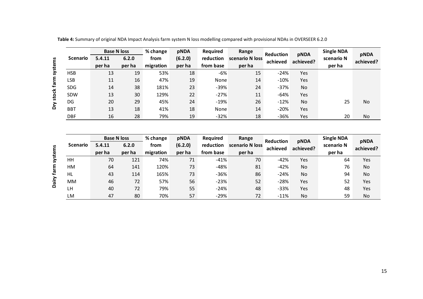| <b>Base N loss</b> |                              |        | % change         | pNDA                   | Required              | Range                    | Reduction | pNDA        | <b>Single NDA</b>               | pNDA      |
|--------------------|------------------------------|--------|------------------|------------------------|-----------------------|--------------------------|-----------|-------------|---------------------------------|-----------|
| <b>Scenario</b>    | 5.4.11                       | 6.2.0  | from             | (6.2.0)                | reduction             | scenario N loss          | achieved  | achieved?   | scenario N                      | achieved? |
|                    | per ha                       | per ha | migration        | per ha                 | from base             | per ha                   |           |             | per ha                          |           |
| <b>HSB</b>         | 13                           | 19     | 53%              | 18                     | $-6%$                 | 15                       | $-24%$    | Yes         |                                 |           |
| <b>LSB</b>         | 11                           | 16     | 47%              | 19                     | None                  | 14                       | $-10%$    | Yes         |                                 |           |
| SDG                | 14                           | 38     | 181%             | 23                     | $-39%$                | 24                       | $-37%$    | No          |                                 |           |
| SDW                | 13                           | 30     | 129%             | 22                     | $-27%$                | 11                       | -64%      | Yes         |                                 |           |
| DG                 | 20                           | 29     | 45%              | 24                     | $-19%$                | 26                       | $-12%$    | No          | 25                              | No        |
| <b>BBT</b>         | 13                           | 18     | 41%              | 18                     | None                  | 14                       | $-20%$    | Yes         |                                 |           |
| DBF                | 16                           | 28     | 79%              | 19                     | $-32%$                | 18                       | $-36%$    | Yes         | 20                              | No        |
|                    |                              |        |                  |                        |                       |                          |           |             |                                 |           |
|                    |                              |        |                  |                        |                       |                          |           |             |                                 |           |
| <b>Scenario</b>    | <b>Base N loss</b><br>5.4.11 | 6.2.0  | % change<br>from | <b>pNDA</b><br>(6.2.0) | Required<br>reduction | Range<br>scenario N loss | Reduction | <b>pNDA</b> | <b>Single NDA</b><br>scenario N | pNDA      |
|                    | per ha                       | per ha | migration        | per ha                 | from base             | per ha                   | achieved  | achieved?   | per ha                          | achieved? |
| HH                 | 70                           | 121    | 74%              | 71                     | $-41%$                | 70                       | $-42%$    | Yes         | 64                              | Yes       |
| HM                 | 64                           | 141    | 120%             | 73                     | $-48%$                | 81                       | $-42%$    | No          | 76                              | No        |
| <b>HL</b>          | 43                           | 114    | 165%             | 73                     | $-36%$                | 86                       | $-24%$    | No          | 94                              | No        |
| MM                 | 46                           | 72     | 57%              | 56                     | $-23%$                | 52                       | $-28%$    | Yes         | 52                              | Yes       |

**Table 4:** Summary of original NDA Impact Analysis farm system N loss modelling compared with provisional NDAs in OVERSEER 6.2.0

|                 | <b>Base N loss</b> |        | % change  | pNDA    | Required                     | Range  | <b>Reduction</b> | pNDA      | <b>Single NDA</b> | pNDA      |  |
|-----------------|--------------------|--------|-----------|---------|------------------------------|--------|------------------|-----------|-------------------|-----------|--|
| <b>Scenario</b> | 5.4.11             | 6.2.0  | from      | (6.2.0) | reduction<br>scenario N loss |        | achieved         | achieved? | scenario N        | achieved? |  |
|                 | per ha             | per ha | migration | per ha  | from base                    | per ha |                  |           | per ha            |           |  |
| HH              | 70                 | 121    | 74%       | 71      | $-41%$                       | 70     | $-42%$           | Yes       | 64                | Yes       |  |
| HM              | 64                 | 141    | 120%      | 73      | $-48%$                       | 81     | $-42%$           | <b>No</b> | 76                | No        |  |
| HL.             | 43                 | 114    | 165%      | 73      | $-36%$                       | 86     | $-24%$           | <b>No</b> | 94                | No        |  |
| MM.             | 46                 | 72     | 57%       | 56      | $-23%$                       | 52     | $-28%$           | Yes       | 52                | Yes       |  |
| LH              | 40                 | 72     | 79%       | 55      | $-24%$                       | 48     | $-33%$           | Yes       | 48                | Yes       |  |
| LM              | 47                 | 80     | 70%       | 57      | $-29%$                       | 72     | $-11%$           | No        | 59                | No        |  |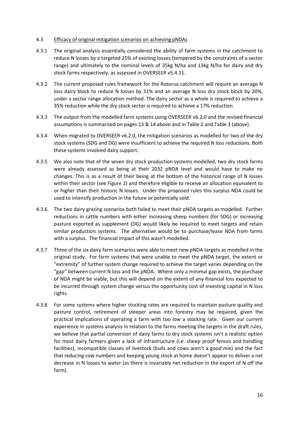#### 4.3 Efficacy of original mitigation scenarios on achieving pNDAs

- 4.3.1 The original analysis essentially considered the ability of farm systems in the catchment to reduce N losses by a targeted 25% of existing losses (tempered by the constraints of a sector range) and ultimately to the nominal levels of 35kg N/ha and 13kg N/ha for dairy and dry stock farms respectively, as assessed in OVERSEER v5.4.11.
- 4.3.2 The current proposed rules framework for the Rotorua catchment will require an average N loss dairy block to reduce N losses by 31% and an average N loss dry stock block by 20%, under a sector range allocation method. The dairy sector as a whole is required to achieve a 35% reduction while the dry stock sector is required to achieve a 17% reduction.
- 4.3.3 The output from the modelled farm systems using OVERSEER v6.2.0 and the revised financial assumptions is summarised on pages 13 & 14 above and in Table 2 and Table 3 (above).
- 4.3.4 When migrated to OVERSEER v6.2.0, the mitigation scenarios as modelled for two of the dry stock systems (SDG and DG) were insufficient to achieve the required N loss reductions. Both these systems involved dairy support.
- 4.3.5 We also note that of the seven dry stock production systems modelled, two dry stock farms were already assessed as being at their 2032 pNDA level and would have to make no changes. This is as a result of their being at the bottom of the historical range of N losses within their sector (see Figure 2) and therefore eligible to receive an allocation equivalent to or higher than their historic N losses. Under the proposed rules this surplus NDA could be used to intensify production in the future or potentially sold.
- 4.3.6 The two dairy grazing scenarios both failed to meet their pNDA targets as modelled. Further reductions in cattle numbers with either increasing sheep numbers (for SDG) or increasing pasture exported as supplement (DG) would likely be required to meet targets and retain similar production systems. The alternative would be to purchase/lease NDA from farms with a surplus. The financial impact of this wasn't modelled.
- 4.3.7 Three of the six dairy farm scenarios were able to meet new pNDA targets as modelled in the original study. For farm systems that were unable to meet the pNDA target, the extent or "extremity" of further system change required to achieve the target varies depending on the "gap" between current N loss and the pNDA. Where only a minimal gap exists, the purchase of NDA might be viable, but this will depend on the extent of any financial loss expected to be incurred through system change versus the opportunity cost of investing capital in N loss rights.
- 4.3.8 For some systems where higher stocking rates are required to maintain pasture quality and pasture control, retirement of steeper areas into forestry may be required, given the practical implications of operating a farm with too low a stocking rate. Given our current experience in systems analysis in relation to the farms meeting the targets in the draft rules, we believe that partial conversion of dairy farms to dry stock systems isn't a realistic option for most dairy farmers given a lack of infrastructure (i.e. sheep proof fences and handling facilities), incompatible classes of livestock (bulls and cows aren't a good mix) and the fact that reducing cow numbers and keeping young stock at home doesn't appear to deliver a net decrease in N losses to water (as there is invariably net reduction in the export of N off the farm).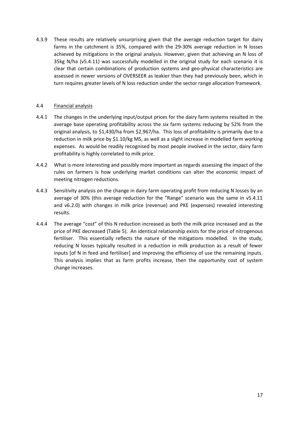4.3.9 These results are relatively unsurprising given that the average reduction target for dairy farms in the catchment is 35%, compared with the 29-30% average reduction in N losses achieved by mitigations in the original analysis. However, given that achieving an N loss of 35kg N/ha (v5.4.11) was successfully modelled in the original study for each scenario it is clear that certain combinations of production systems and geo-physical characteristics are assessed in newer versions of OVERSEER as leakier than they had previously been, which in turn requires greater levels of N loss reduction under the sector range allocation framework.

## 4.4 Financial analysis

- 4.4.1 The changes in the underlying input/output prices for the dairy farm systems resulted in the average base operating profitability across the six farm systems reducing by 52% from the original analysis, to \$1,430/ha from \$2,967/ha. This loss of profitability is primarily due to a reduction in milk price by \$1.10/kg MS, as well as a slight increase in modelled farm working expenses. As would be readily recognised by most people involved in the sector, dairy farm profitability is highly correlated to milk price.
- 4.4.2 What is more interesting and possibly more important as regards assessing the impact of the rules on farmers is how underlying market conditions can alter the economic impact of meeting nitrogen reductions.
- 4.4.3 Sensitivity analysis on the change in dairy farm operating profit from reducing N losses by an average of 30% (this average reduction for the "Range" scenario was the same in v5.4.11 and v6.2.0) with changes in milk price (revenue) and PKE (expenses) revealed interesting results.
- 4.4.4 The average "cost" of this N reduction increased as both the milk price increased and as the price of PKE decreased (Table 5). An identical relationship exists for the price of nitrogenous fertiliser. This essentially reflects the nature of the mitigations modelled. In the study, reducing N losses typically resulted in a reduction in milk production as a result of fewer inputs [of N in feed and fertiliser] and improving the efficiency of use the remaining inputs. This analysis implies that as farm profits increase, then the opportunity cost of system change increases.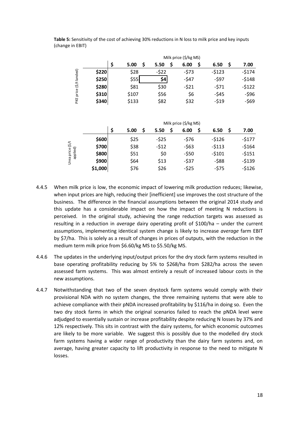|                |       |       | Milk price (\$/kg MS) |            |           |            |  |  |  |  |  |  |  |  |  |  |
|----------------|-------|-------|-----------------------|------------|-----------|------------|--|--|--|--|--|--|--|--|--|--|
|                |       | 5.00  | 5.50                  | \$<br>6.00 | Ś<br>6.50 | \$<br>7.00 |  |  |  |  |  |  |  |  |  |  |
|                | \$220 | \$28  | -\$22                 | $-573$     | $-5123$   | $-5174$    |  |  |  |  |  |  |  |  |  |  |
| $(5/t$ landed) | \$250 | \$55  | \$4                   | $-547$     | $-597$    | $-5148$    |  |  |  |  |  |  |  |  |  |  |
|                | \$280 | \$81  | \$30                  | $-521$     | $-571$    | $-5122$    |  |  |  |  |  |  |  |  |  |  |
| price (        | \$310 | \$107 | \$56                  | \$6        | -\$45     | $-596$     |  |  |  |  |  |  |  |  |  |  |
| PKE            | \$340 | \$133 | \$82                  | \$32       | $-519$    | $-569$     |  |  |  |  |  |  |  |  |  |  |

**Table 5:** Sensitivity of the cost of achieving 30% reductions in N loss to milk price and key inputs (change in EBIT)

|       | Ś<br>5.00 | \$<br>5.50 | \$<br>6.00 | \$<br>6.50 | 7.00<br>S             |  |  |  |  |  |  |  |  |  |  |
|-------|-----------|------------|------------|------------|-----------------------|--|--|--|--|--|--|--|--|--|--|
| \$600 | \$25      | $-525$     | $-576$     | $-5126$    | $-5177$               |  |  |  |  |  |  |  |  |  |  |
| \$700 | \$38      | $-512$     | $-563$     | $-5113$    | $-5164$               |  |  |  |  |  |  |  |  |  |  |
| \$800 | \$51      | \$0        | $-550$     | $-5101$    | $-5151$               |  |  |  |  |  |  |  |  |  |  |
| \$900 | \$64      | \$13       | $-537$     | $-588$     | $-5139$               |  |  |  |  |  |  |  |  |  |  |
|       | \$76      | \$26       | $-525$     | $-575$     | $-5126$               |  |  |  |  |  |  |  |  |  |  |
|       |           | \$1,000    |            |            | Milk price (\$/kg MS) |  |  |  |  |  |  |  |  |  |  |

- 4.4.5 When milk price is low, the economic impact of lowering milk production reduces; likewise, when input prices are high, reducing their [inefficient] use improves the cost structure of the business. The difference in the financial assumptions between the original 2014 study and this update has a considerable impact on how the impact of meeting N reductions is perceived. In the original study, achieving the range reduction targets was assessed as resulting in a reduction in *average* dairy operating profit of \$100/ha – under the current assumptions, implementing identical system change is likely to increase *average* farm EBIT by \$7/ha. This is solely as a result of changes in prices of outputs, with the reduction in the medium term milk price from \$6.60/kg MS to \$5.50/kg MS.
- 4.4.6 The updates in the underlying input/output prices for the dry stock farm systems resulted in base operating profitability reducing by 5% to \$268/ha from \$282/ha across the seven assessed farm systems. This was almost entirely a result of increased labour costs in the new assumptions.
- 4.4.7 Notwithstanding that two of the seven drystock farm systems would comply with their provisional NDA with no system changes, the three remaining systems that were able to achieve compliance with their pNDA increased profitability by \$116/ha in doing so. Even the two dry stock farms in which the original scenarios failed to reach the pNDA level were adjudged to essentially sustain or increase profitability despite reducing N losses by 37% and 12% respectively. This sits in contrast with the dairy systems, for which economic outcomes are likely to be more variable. We suggest this is possibly due to the modelled dry stock farm systems having a wider range of productivity than the dairy farm systems and, on average, having greater capacity to lift productivity in response to the need to mitigate N losses.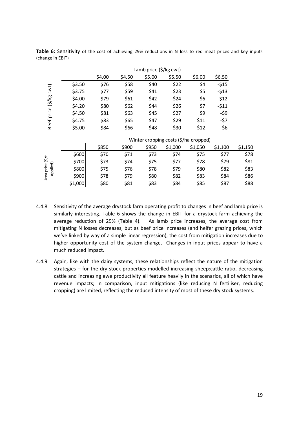| Table 6: Sensitivity of the cost of achieving 29% reductions in N loss to red meat prices and key inputs |  |  |  |  |  |  |
|----------------------------------------------------------------------------------------------------------|--|--|--|--|--|--|
| (change in EBIT)                                                                                         |  |  |  |  |  |  |

|                                     |        | Lamb price (\$/kg cwt) |        |        |        |        |        |
|-------------------------------------|--------|------------------------|--------|--------|--------|--------|--------|
|                                     |        | \$4.00                 | \$4.50 | \$5.00 | \$5.50 | \$6.00 | \$6.50 |
| cwt)<br>$\frac{8}{8}$<br>Beef price | \$3.50 | \$76                   | \$58   | \$40   | \$22   | \$4    | $-515$ |
|                                     | \$3.75 | \$77                   | \$59   | \$41   | \$23   | \$5    | $-513$ |
|                                     | \$4.00 | \$79                   | \$61   | \$42   | \$24   | \$6    | $-512$ |
|                                     | \$4.20 | \$80                   | \$62   | \$44   | \$26   | \$7    | $-511$ |
|                                     | \$4.50 | \$81                   | \$63   | \$45   | \$27   | \$9    | -\$9   |
|                                     | \$4.75 | \$83                   | \$65   | \$47   | \$29   | \$11   | $-57$  |
|                                     | \$5.00 | \$84                   | \$66   | \$48   | \$30   | \$12   | $-56$  |

|      |       | Winter cropping costs (\$/ha cropped) |                     |       |
|------|-------|---------------------------------------|---------------------|-------|
| coon | coro. | ca non                                | C <sub>1</sub> OF O | 61.10 |

|                                 |         | \$850 | \$900 | \$950 | \$1,000 | \$1,050 | \$1,100 | \$1,150 |
|---------------------------------|---------|-------|-------|-------|---------|---------|---------|---------|
| (5/t)<br>Urea price<br>applied) | \$600   | \$70  | \$71  | \$73  | \$74    | \$75    | \$77    | \$78    |
|                                 | \$700   | \$73  | \$74  | \$75  | \$77    | \$78    | \$79    | \$81    |
|                                 | \$800   | \$75  | \$76  | \$78  | \$79    | \$80    | \$82    | \$83    |
|                                 | \$900   | \$78  | \$79  | \$80  | \$82    | \$83    | \$84    | \$86    |
|                                 | \$1,000 | \$80  | \$81  | \$83  | \$84    | \$85    | \$87    | \$88    |

- 4.4.8 Sensitivity of the average drystock farm operating profit to changes in beef and lamb price is similarly interesting. Table 6 shows the change in EBIT for a drystock farm achieving the average reduction of 29% (Table 4). As lamb price increases, the average cost from mitigating N losses decreases, but as beef price increases (and heifer grazing prices, which we've linked by way of a simple linear regression), the cost from mitigation increases due to higher opportunity cost of the system change. Changes in input prices appear to have a much reduced impact.
- 4.4.9 Again, like with the dairy systems, these relationships reflect the nature of the mitigation strategies – for the dry stock properties modelled increasing sheep:cattle ratio, decreasing cattle and increasing ewe productivity all feature heavily in the scenarios, all of which have revenue impacts; in comparison, input mitigations (like reducing N fertiliser, reducing cropping) are limited, reflecting the reduced intensity of most of these dry stock systems.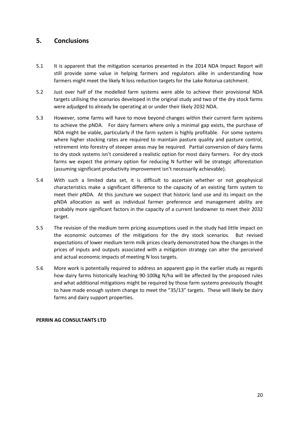## **5. Conclusions**

- 5.1 It is apparent that the mitigation scenarios presented in the 2014 NDA Impact Report will still provide some value in helping farmers and regulators alike in understanding how farmers might meet the likely N loss reduction targets for the Lake Rotorua catchment.
- 5.2 Just over half of the modelled farm systems were able to achieve their provisional NDA targets utilising the scenarios developed in the original study and two of the dry stock farms were adjudged to already be operating at or under their likely 2032 NDA.
- 5.3 However, some farms will have to move beyond changes within their current farm systems to achieve the pNDA. For dairy farmers where only a minimal gap exists, the purchase of NDA might be viable, particularly if the farm system is highly profitable. For some systems where higher stocking rates are required to maintain pasture quality and pasture control, retirement into forestry of steeper areas may be required. Partial conversion of dairy farms to dry stock systems isn't considered a realistic option for most dairy farmers. For dry stock farms we expect the primary option for reducing N further will be strategic afforestation (assuming significant productivity improvement isn't necessarily achievable).
- 5.4 With such a limited data set, it is difficult to ascertain whether or not geophysical characteristics make a significant difference to the capacity of an existing farm system to meet their pNDA. At this juncture we suspect that historic land use and its impact on the pNDA allocation as well as individual farmer preference and management ability are probably more significant factors in the capacity of a current landowner to meet their 2032 target.
- 5.5 The revision of the medium term pricing assumptions used in the study had little impact on the economic outcomes of the mitigations for the dry stock scenarios. But revised expectations of lower medium term milk prices clearly demonstrated how the changes in the prices of inputs and outputs associated with a mitigation strategy can alter the perceived and actual economic impacts of meeting N loss targets.
- 5.6 More work is potentially required to address an apparent gap in the earlier study as regards how dairy farms historically leaching 90-100kg N/ha will be affected by the proposed rules and what additional mitigations might be required by those farm systems previously thought to have made enough system change to meet the "35/13" targets. These will likely be dairy farms and dairy support properties.

#### **PERRIN AG CONSULTANTS LTD**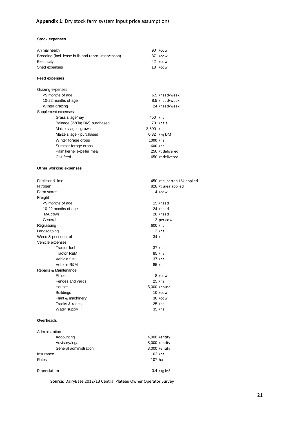| Animal health                                        |             | 90 /cow                     |
|------------------------------------------------------|-------------|-----------------------------|
| Breeding (incl. lease bulls and repro. intervention) |             | 37 /cow                     |
| Electricity                                          |             | 42 /cow                     |
| Shed expenses                                        |             | 18 /cow                     |
| <b>Feed expenses</b>                                 |             |                             |
| Grazing expenses                                     |             |                             |
| <9 months of age                                     |             | 6.5 /head/week              |
| 10-22 months of age                                  |             | 8.5 /head/week              |
| Winter grazing                                       |             | 24 /head/week               |
| Supplement expenses                                  |             |                             |
| Grass silage/hay                                     | 450 /ha     |                             |
| Baleage (220kg DM) purchased                         |             | 70 /bale                    |
| Maize silage - grown                                 | $3,500$ /ha |                             |
| Maize silage - purchased                             |             | $0.32$ /kg DM               |
| Winter forage crops                                  | 1000 /ha    |                             |
| Summer forage crops                                  | 600 /ha     |                             |
| Palm kernel expeller meal                            |             | 250 /t delivered            |
| Calf feed                                            |             | 650 /t delivered            |
|                                                      |             |                             |
| Other working expenses                               |             |                             |
| Fertiliser & lime                                    |             | 450 /t superten 15k applied |
| Nitrogen                                             |             | 828 /t urea applied         |
| Farm stores                                          |             | 4 /cow                      |
| Freight                                              |             |                             |
| <9 months of age                                     |             | 15 /head                    |
| 10-22 months of age                                  |             | 24 /head                    |
| MA cows                                              |             | 28 /head                    |
| General                                              |             | 2 per cow                   |
| Regrassing                                           | 600 /ha     |                             |
| Landscaping                                          |             | 3/ha                        |
| Weed & pest control                                  |             | 34 /ha                      |
| Vehicle expenses                                     |             |                             |
| <b>Tractor</b> fuel                                  |             | 37 / ha                     |
| Tractor R&M                                          |             | 85 /ha                      |
| Vehicle fuel                                         |             | 37 /ha                      |
| Vehicle R&M                                          |             | 85 /ha                      |
| Repairs & Maintenance                                |             |                             |
| Effluent                                             |             | 8 /cow                      |
| Fences and yards                                     |             | 25 /ha                      |
| Houses                                               |             | 5,000 /house                |
| <b>Buildings</b>                                     |             | $10 / \text{cow}$           |
| Plant & machinery                                    |             | 30 /cow                     |
| Tracks & races                                       |             | 25 /ha                      |
| Water supply                                         |             | 35 / ha                     |
| Overheads                                            |             |                             |
| Administration                                       |             |                             |
| Accounting                                           |             | 4,000 / entity              |
| Advisory/legal                                       |             | 5,000 / entity              |
| General administration                               |             | 3,000 / entity              |
| Insurance                                            |             | 62 / ha                     |

Rates **107 has a control** control control control control control control control control control control control control control control control control control control control control control control control control cont

Depreciation 0.4 /kg MS

**Source:** DairyBase 2012/13 Central Plateau Owner Operator Survey